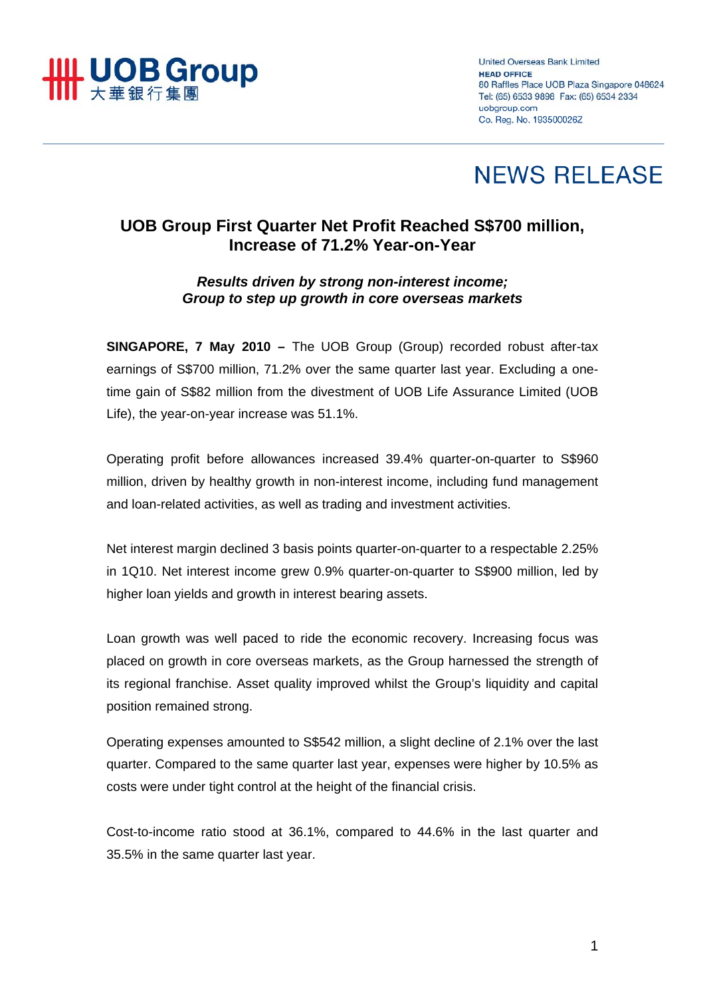

**United Overseas Bank Limited HEAD OFFICE** 80 Raffles Place UOB Plaza Singapore 048624 Tel: (65) 6533 9898 Fax: (65) 6534 2334 uobaroup.com Co. Reg. No. 193500026Z

# **NEWS RELEASE**

# **UOB Group First Quarter Net Profit Reached S\$700 million, Increase of 71.2% Year-on-Year**

# *Results driven by strong non-interest income; Group to step up growth in core overseas markets*

**SINGAPORE, 7 May 2010 –** The UOB Group (Group) recorded robust after-tax earnings of S\$700 million, 71.2% over the same quarter last year. Excluding a onetime gain of S\$82 million from the divestment of UOB Life Assurance Limited (UOB Life), the year-on-year increase was 51.1%.

Operating profit before allowances increased 39.4% quarter-on-quarter to S\$960 million, driven by healthy growth in non-interest income, including fund management and loan-related activities, as well as trading and investment activities.

Net interest margin declined 3 basis points quarter-on-quarter to a respectable 2.25% in 1Q10. Net interest income grew 0.9% quarter-on-quarter to S\$900 million, led by higher loan yields and growth in interest bearing assets.

Loan growth was well paced to ride the economic recovery. Increasing focus was placed on growth in core overseas markets, as the Group harnessed the strength of its regional franchise. Asset quality improved whilst the Group's liquidity and capital position remained strong.

Operating expenses amounted to S\$542 million, a slight decline of 2.1% over the last quarter. Compared to the same quarter last year, expenses were higher by 10.5% as costs were under tight control at the height of the financial crisis.

Cost-to-income ratio stood at 36.1%, compared to 44.6% in the last quarter and 35.5% in the same quarter last year.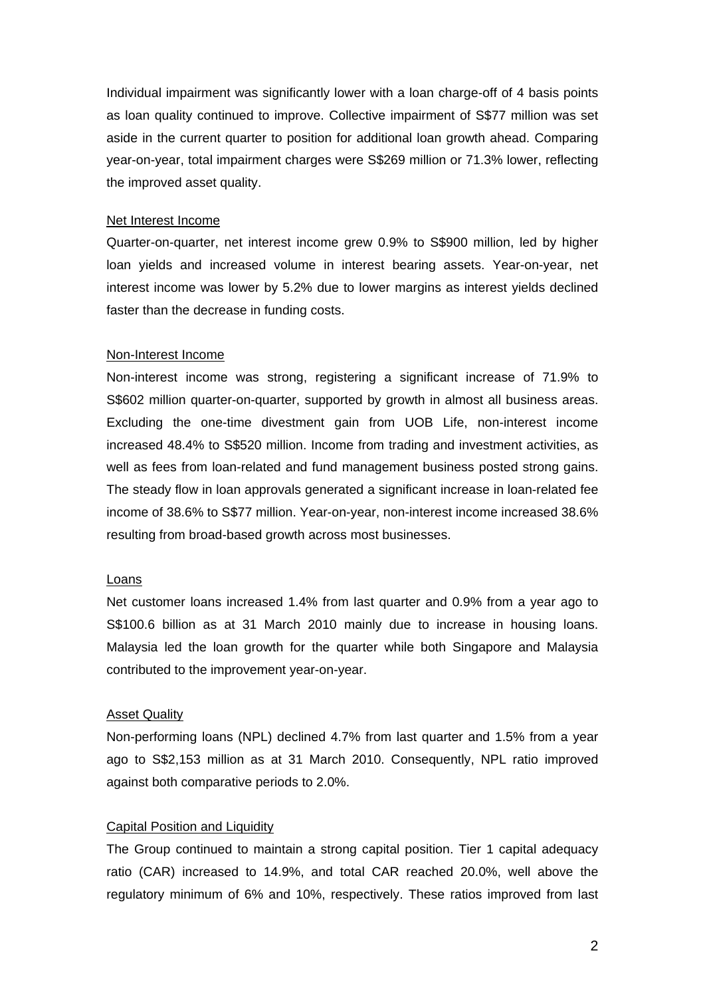Individual impairment was significantly lower with a loan charge-off of 4 basis points as loan quality continued to improve. Collective impairment of S\$77 million was set aside in the current quarter to position for additional loan growth ahead. Comparing year-on-year, total impairment charges were S\$269 million or 71.3% lower, reflecting the improved asset quality.

#### Net Interest Income

Quarter-on-quarter, net interest income grew 0.9% to S\$900 million, led by higher loan yields and increased volume in interest bearing assets. Year-on-year, net interest income was lower by 5.2% due to lower margins as interest yields declined faster than the decrease in funding costs.

#### Non-Interest Income

Non-interest income was strong, registering a significant increase of 71.9% to S\$602 million quarter-on-quarter, supported by growth in almost all business areas. Excluding the one-time divestment gain from UOB Life, non-interest income increased 48.4% to S\$520 million. Income from trading and investment activities, as well as fees from loan-related and fund management business posted strong gains. The steady flow in loan approvals generated a significant increase in loan-related fee income of 38.6% to S\$77 million. Year-on-year, non-interest income increased 38.6% resulting from broad-based growth across most businesses.

#### Loans

Net customer loans increased 1.4% from last quarter and 0.9% from a year ago to S\$100.6 billion as at 31 March 2010 mainly due to increase in housing loans. Malaysia led the loan growth for the quarter while both Singapore and Malaysia contributed to the improvement year-on-year.

## Asset Quality

Non-performing loans (NPL) declined 4.7% from last quarter and 1.5% from a year ago to S\$2,153 million as at 31 March 2010. Consequently, NPL ratio improved against both comparative periods to 2.0%.

## Capital Position and Liquidity

The Group continued to maintain a strong capital position. Tier 1 capital adequacy ratio (CAR) increased to 14.9%, and total CAR reached 20.0%, well above the regulatory minimum of 6% and 10%, respectively. These ratios improved from last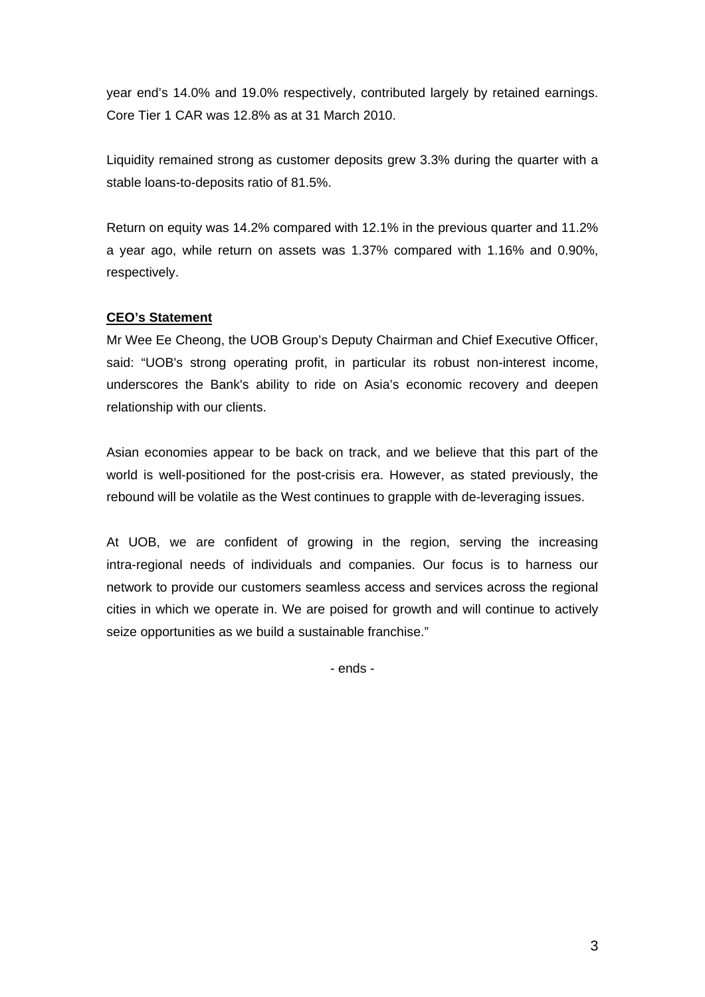year end's 14.0% and 19.0% respectively, contributed largely by retained earnings. Core Tier 1 CAR was 12.8% as at 31 March 2010.

Liquidity remained strong as customer deposits grew 3.3% during the quarter with a stable loans-to-deposits ratio of 81.5%.

Return on equity was 14.2% compared with 12.1% in the previous quarter and 11.2% a year ago, while return on assets was 1.37% compared with 1.16% and 0.90%, respectively.

# **CEO's Statement**

Mr Wee Ee Cheong, the UOB Group's Deputy Chairman and Chief Executive Officer, said: "UOB's strong operating profit, in particular its robust non-interest income, underscores the Bank's ability to ride on Asia's economic recovery and deepen relationship with our clients.

Asian economies appear to be back on track, and we believe that this part of the world is well-positioned for the post-crisis era. However, as stated previously, the rebound will be volatile as the West continues to grapple with de-leveraging issues.

At UOB, we are confident of growing in the region, serving the increasing intra-regional needs of individuals and companies. Our focus is to harness our network to provide our customers seamless access and services across the regional cities in which we operate in. We are poised for growth and will continue to actively seize opportunities as we build a sustainable franchise."

- ends -